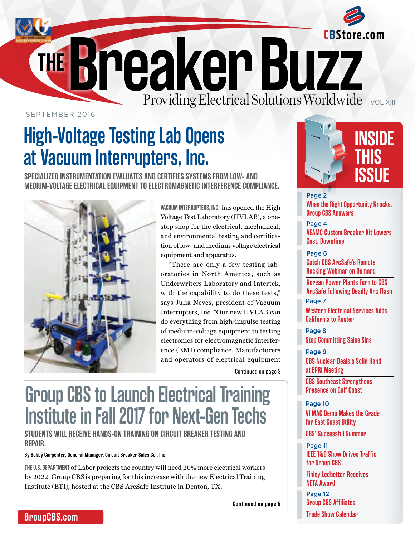<span id="page-0-0"></span>

SEPTEMBER 2016

## **High-Voltage Testing Lab Opens at Vacuum Interrupters, Inc.**

**SPECIALIZED INSTRUMENTATION EVALUATES AND CERTIFIES SYSTEMS FROM LOW- AND MEDIUM-VOLTAGE ELECTRICAL EQUIPMENT TO ELECTROMAGNETIC INTERFERENCE COMPLIANCE.**



**VACUUM INTERRUPTERS, INC.,** has opened the High Voltage Test Laboratory (HVLAB), a onestop shop for the electrical, mechanical, and environmental testing and certification of low- and medium-voltage electrical equipment and apparatus.

"There are only a few testing laboratories in North America, such as Underwriters Laboratory and Intertek, with the capability to do these tests," says Julia Neves, president of Vacuum Interrupters, Inc. "Our new HVLAB can do everything from high-impulse testing of medium-voltage equipment to testing electronics for electromagnetic interference (EMI) compliance. Manufacturers and operators of electrical equipment

[Continued on page 3](#page-2-0)

## **Group CBS to Launch Electrical Training Institute in Fall 2017 for Next-Gen Techs**

**STUDENTS WILL RECEIVE HANDS-ON TRAINING ON CIRCUIT BREAKER TESTING AND REPAIR.**

**By Bobby Carpenter, General Manager, Circuit Breaker Sales Co., Inc.**

**THE U.S. DEPARTMENT** of Labor projects the country will need 20% more electrical workers by 2022. Group CBS is preparing for this increase with the new Electrical Training Institute (ETI), hosted at the CBS ArcSafe Institute in Denton, TX.

**[Continued on page 5](#page-4-0)**



**[When the Right Opportunity Knocks,](#page-1-0)  Group CBS Answers** Page 2

**[AEAMC Custom Breaker Kit Lowers](#page-3-0)  Cost, Downtime** Page 4

**Catch CBS ArcSafe's Remote Racking Webinar on Demand** Page 6

Page 7 **Korean Power Plants Turn to CBS [ArcSafe Following Deadly Arc Flash](#page-5-0)**

**[Western Electrical Services Adds](#page-6-0)  California to Roster**

**[Stop Committing Sales Sins](#page-7-0)** Page 8

**[CBS Nuclear Deals a Solid Hand](#page-8-0)  at EPRI Meeting**  Page 9

**CBS Southeast Strengthens Presence on Gulf Coast**

**[VI MAC Demo Makes the Grade](#page-9-0)  for East Coast Utility** Page 10

**CBS' Successful Summer**

**[IEEE T&D Show Drives Traffic](#page-10-0)  for Group CBS** Page 11

**Finley Ledbetter Receives NETA Award**

**Group CBS Affiliates** Page 12

**[Trade Show Calendar](#page-11-0)**

### **[GroupCBS.com](http://groupcbs.com)**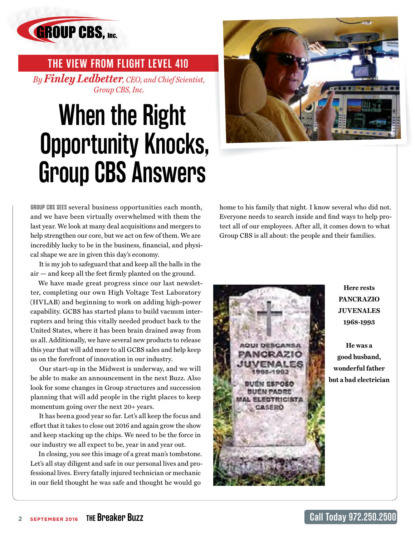<span id="page-1-0"></span>

 **THE VIEW FROM FLIGHT LEVEL 410** *By Finley Ledbetter, CEO, and Chief Scientist, Group CBS, Inc.*

# **When the Right Opportunity Knocks, Group CBS Answers**



**GROUP CBS SEES** several business opportunities each month, and we have been virtually overwhelmed with them the last year. We look at many deal acquisitions and mergers to help strengthen our core, but we act on few of them. We are incredibly lucky to be in the business, financial, and physical shape we are in given this day's economy.

 It is my job to safeguard that and keep all the balls in the air — and keep all the feet firmly planted on the ground.

We have made great progress since our last newsletter, completing our own High Voltage Test Laboratory (HVLAB) and beginning to work on adding high-power capability. GCBS has started plans to build vacuum interrupters and bring this vitally needed product back to the United States, where it has been brain drained away from us all. Additionally, we have several new products to release this year that will add more to all GCBS sales and help keep us on the forefront of innovation in our industry.

 Our start-up in the Midwest is underway, and we will be able to make an announcement in the next Buzz. Also look for some changes in Group structures and succession planning that will add people in the right places to keep momentum going over the next 20+ years.

 It has been a good year so far. Let's all keep the focus and effort that it takes to close out 2016 and again grow the show and keep stacking up the chips. We need to be the force in our industry we all expect to be, year in and year out.

In closing, you see this image of a great man's tombstone. Let's all stay diligent and safe in our personal lives and professional lives. Every fatally injured technician or mechanic in our field thought he was safe and thought he would go

home to his family that night. I know several who did not. Everyone needs to search inside and find ways to help protect all of our employees. After all, it comes down to what Group CBS is all about: the people and their families.



**Here rests PANCRAZIO JUVENALES 1968-1993**

**He was a good husband, wonderful father but a bad electrician**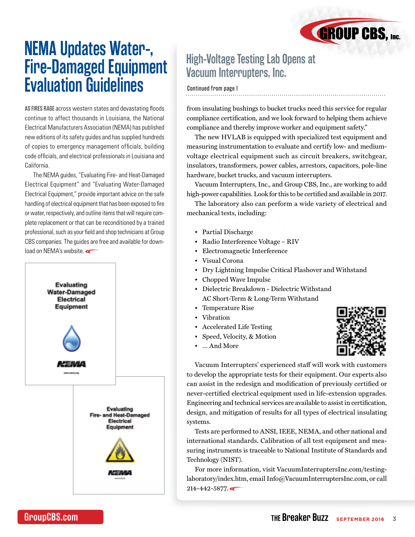### <span id="page-2-0"></span>**NEMA Updates Water-, Fire-Damaged Equipment Evaluation Guidelines**

**AS FIRES RAGE** across western states and devastating floods continue to affect thousands in Louisiana, the National Electrical Manufacturers Association (NEMA) has published new editions of its safety guides and has supplied hundreds of copies to emergency management officials, building code officials, and electrical professionals in Louisiana and California.

The NEMA guides, "Evaluating Fire- and Heat-Damaged Electrical Equipment" and "Evaluating Water-Damaged Electrical Equipment," provide important advice on the safe handling of electrical equipment that has been exposed to fire or water, respectively, and outline items that will require complete replacement or that can be reconditioned by a trained professional, such as your field and shop technicians at Group CBS companies. The guides are free and available for download on NEMA's website.



### **High-Voltage Testing Lab Opens at Vacuum Interrupters, Inc.**

### Continued from page 1

from insulating bushings to bucket trucks need this service for regular compliance certification, and we look forward to helping them achieve compliance and thereby improve worker and equipment safety."

The new HVLAB is equipped with specialized test equipment and measuring instrumentation to evaluate and certify low- and mediumvoltage electrical equipment such as circuit breakers, switchgear, insulators, transformers, power cables, arrestors, capacitors, pole-line hardware, bucket trucks, and vacuum interrupters.

Vacuum Interrupters, Inc., and Group CBS, Inc., are working to add high-power capabilities. Look for this to be certified and available in 2017.

The laboratory also can perform a wide variety of electrical and mechanical tests, including:

- Partial Discharge
- Radio Interference Voltage RIV
- Electromagnetic Interference
- Visual Corona
- Dry Lightning Impulse Critical Flashover and Withstand
- Chopped Wave Impulse
- Dielectric Breakdown Dielectric Withstand AC Short-Term & Long-Term Withstand
- Temperature Rise
- Vibration
- Accelerated Life Testing
- Speed, Velocity, & Motion
- … And More



**GROUP CBS, Inc.** 

Vacuum Interrupters' experienced staff will work with customers to develop the appropriate tests for their equipment. Our experts also can assist in the redesign and modification of previously certified or never-certified electrical equipment used in life-extension upgrades. Engineering and technical services are available to assist in certification, design, and mitigation of results for all types of electrical insulating systems.

Tests are performed to ANSI, IEEE, NEMA, and other national and international standards. Calibration of all test equipment and measuring instruments is traceable to National Institute of Standards and Technology (NIST).

For more information, visit [VacuumInterruptersInc.com/testing](http://vacuuminterruptersinc.com/testing-laboratory/index.htm)[laboratory/index.htm](http://vacuuminterruptersinc.com/testing-laboratory/index.htm), email Info@VacuumInterruptersInc.com, or call  $214 - 442 - 5877$ .

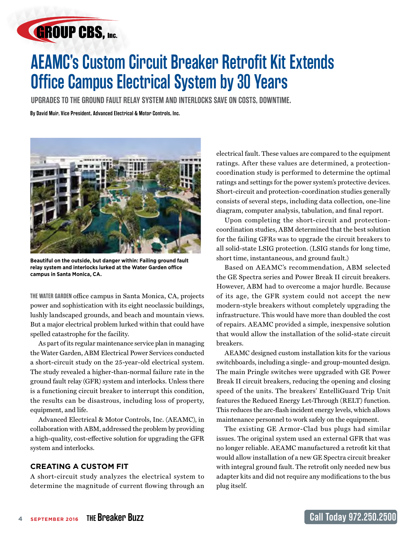## <span id="page-3-0"></span>**GROUP CBS, Inc.**

## **AEAMC's Custom Circuit Breaker Retrofit Kit Extends Office Campus Electrical System by 30 Years**

**UPGRADES TO THE GROUND FAULT RELAY SYSTEM AND INTERLOCKS SAVE ON COSTS, DOWNTIME.**

**By David Muir, Vice President, Advanced Electrical & Motor Controls, Inc.**



**Beautiful on the outside, but danger within: Failing ground fault relay system and interlocks lurked at the Water Garden office campus in Santa Monica, CA.**

**THE WATER GARDEN** office campus in Santa Monica, CA, projects power and sophistication with its eight neoclassic buildings, lushly landscaped grounds, and beach and mountain views. But a major electrical problem lurked within that could have spelled catastrophe for the facility.

As part of its regular maintenance service plan in managing the Water Garden, ABM Electrical Power Services conducted a short-circuit study on the 25-year-old electrical system. The study revealed a higher-than-normal failure rate in the ground fault relay (GFR) system and interlocks. Unless there is a functioning circuit breaker to interrupt this condition, the results can be disastrous, including loss of property, equipment, and life.

Advanced Electrical & Motor Controls, Inc. (AEAMC), in collaboration with ABM, addressed the problem by providing a high-quality, cost-effective solution for upgrading the GFR system and interlocks.

### **CREATING A CUSTOM FIT**

A short-circuit study analyzes the electrical system to determine the magnitude of current flowing through an electrical fault. These values are compared to the equipment ratings. After these values are determined, a protectioncoordination study is performed to determine the optimal ratings and settings for the power system's protective devices. Short-circuit and protection-coordination studies generally consists of several steps, including data collection, one-line diagram, computer analysis, tabulation, and final report.

Upon completing the short-circuit and protectioncoordination studies, ABM determined that the best solution for the failing GFRs was to upgrade the circuit breakers to all solid-state LSIG protection. (LSIG stands for long time, short time, instantaneous, and ground fault.)

Based on AEAMC's recommendation, ABM selected the GE Spectra series and Power Break II circuit breakers. However, ABM had to overcome a major hurdle. Because of its age, the GFR system could not accept the new modern-style breakers without completely upgrading the infrastructure. This would have more than doubled the cost of repairs. AEAMC provided a simple, inexpensive solution that would allow the installation of the solid-state circuit breakers.

AEAMC designed custom installation kits for the various switchboards, including a single- and group-mounted design. The main Pringle switches were upgraded with GE Power Break II circuit breakers, reducing the opening and closing speed of the units. The breakers' EntelliGuard Trip Unit features the Reduced Energy Let-Through (RELT) function. This reduces the arc-flash incident energy levels, which allows maintenance personnel to work safely on the equipment.

The existing GE Armor-Clad bus plugs had similar issues. The original system used an external GFR that was no longer reliable. AEAMC manufactured a retrofit kit that would allow installation of a new GE Spectra circuit breaker with integral ground fault. The retrofit only needed new bus adapter kits and did not require any modifications to the bus plug itself.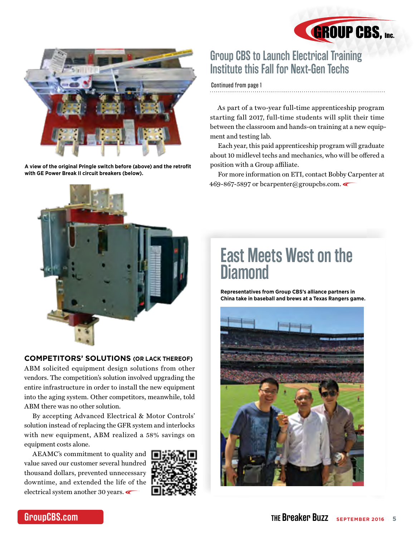

<span id="page-4-0"></span>

**A view of the original Pringle switch before (above) and the retrofit with GE Power Break II circuit breakers (below).**

### **Group CBS to Launch Electrical Training Institute this Fall for Next-Gen Techs**

[Continued from page 1](#page-0-0)

As part of a two-year full-time apprenticeship program starting fall 2017, full-time students will split their time between the classroom and hands-on training at a new equipment and testing lab.

Each year, this paid apprenticeship program will graduate about 10 midlevel techs and mechanics, who will be offered a position with a Group affiliate.

For more information on ETI, contact Bobby Carpenter at 469-867-5897 or bcarpenter@groupcbs.com.



### **COMPETITORS' SOLUTIONS (OR LACK THEREOF)**

ABM solicited equipment design solutions from other vendors. The competition's solution involved upgrading the entire infrastructure in order to install the new equipment into the aging system. Other competitors, meanwhile, told ABM there was no other solution.

By accepting Advanced Electrical & Motor Controls' solution instead of replacing the GFR system and interlocks with new equipment, ABM realized a 58% savings on equipment costs alone.

AEAMC's commitment to quality and value saved our customer several hundred thousand dollars, prevented unnecessary downtime, and extended the life of the electrical system another 30 years.



### **East Meets West on the Diamond**

**Representatives from Group CBS's alliance partners in China take in baseball and brews at a Texas Rangers game.**

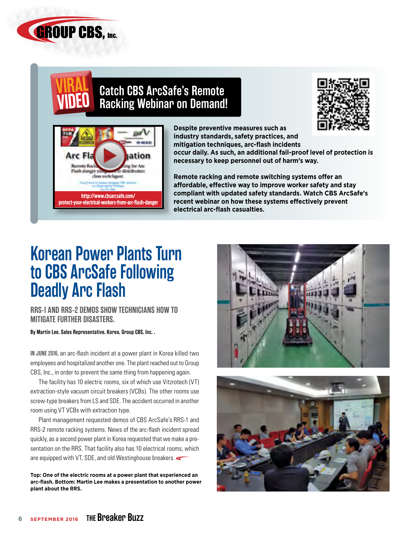<span id="page-5-0"></span>

### **Catch CBS ArcSafe's Remote Racking Webinar on Demand!**





**Despite preventive measures such as industry standards, safety practices, and mitigation techniques, arc-flash incidents occur daily. As such, an additional fail-proof level of protection is** 

**necessary to keep personnel out of harm's way.**

**Remote racking and remote switching systems offer an affordable, effective way to improve worker safety and stay compliant with updated safety standards. Watch CBS ArcSafe's recent webinar on how these systems effectively prevent electrical arc-flash casualties.**

### **Korean Power Plants Turn to CBS ArcSafe Following Deadly Arc Flash**

**RRS-1 AND RRS-2 DEMOS SHOW TECHNICIANS HOW TO MITIGATE FURTHER DISASTERS.**

**By Martin Lee, Sales Representative, Korea, Group CBS, Inc. .** 

**IN JUNE 2016,** an arc-flash incident at a power plant in Korea killed two employees and hospitalized another one. The plant reached out to Group CBS, Inc., in order to prevent the same thing from happening again.

The facility has 10 electric rooms, six of which use Vitzrotech (VT) extraction-style vacuum circuit breakers (VCBs). The other rooms use screw-type breakers from LS and SDE. The accident occurred in another room using VT VCBs with extraction type.

Plant management requested demos of CBS ArcSafe's RRS-1 and RRS-2 remote racking systems. News of the arc-flash incident spread quickly, as a second power plant in Korea requested that we make a presentation on the RRS. That facility also has 10 electrical rooms, which are equipped with VT, SDE, and old Westinghouse breakers.

**Top: One of the electric rooms at a power plant that experienced an arc-flash. Bottom: Martin Lee makes a presentation to another power plant about the RRS.**



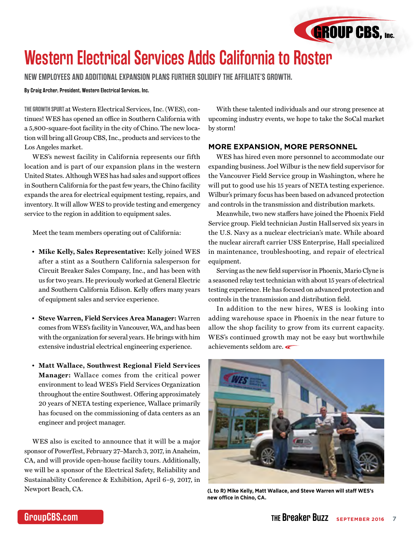

### <span id="page-6-0"></span>**Western Electrical Services Adds California to Roster**

**NEW EMPLOYEES AND ADDITIONAL EXPANSION PLANS FURTHER SOLIDIFY THE AFFILIATE'S GROWTH.**

#### **By Craig Archer, President, Western Electrical Services, Inc.**

**THE GROWTH SPURT** at Western Electrical Services, Inc. (WES), continues! WES has opened an office in Southern California with a 5,800-square-foot facility in the city of Chino. The new location will bring all Group CBS, Inc., products and services to the Los Angeles market.

WES's newest facility in California represents our fifth location and is part of our expansion plans in the western United States. Although WES has had sales and support offices in Southern California for the past few years, the Chino facility expands the area for electrical equipment testing, repairs, and inventory. It will allow WES to provide testing and emergency service to the region in addition to equipment sales.

Meet the team members operating out of California:

- **Mike Kelly, Sales Representative:** Kelly joined WES after a stint as a Southern California salesperson for Circuit Breaker Sales Company, Inc., and has been with us for two years. He previously worked at General Electric and Southern California Edison. Kelly offers many years of equipment sales and service experience.
- **Steve Warren, Field Services Area Manager:** Warren comes from WES's facility in Vancouver, WA, and has been with the organization for several years. He brings with him extensive industrial electrical engineering experience.
- **Matt Wallace, Southwest Regional Field Services Manager:** Wallace comes from the critical power environment to lead WES's Field Services Organization throughout the entire Southwest. Offering approximately 20 years of NETA testing experience, Wallace primarily has focused on the commissioning of data centers as an engineer and project manager.

WES also is excited to announce that it will be a major sponsor of PowerTest, February 27–March 3, 2017, in Anaheim, CA, and will provide open-house facility tours. Additionally, we will be a sponsor of the Electrical Safety, Reliability and Sustainability Conference & Exhibition, April 6–9, 2017, in Newport Beach, CA.

With these talented individuals and our strong presence at upcoming industry events, we hope to take the SoCal market by storm!

### **MORE EXPANSION, MORE PERSONNEL**

WES has hired even more personnel to accommodate our expanding business. Joel Wilbur is the new field supervisor for the Vancouver Field Service group in Washington, where he will put to good use his 15 years of NETA testing experience. Wilbur's primary focus has been based on advanced protection and controls in the transmission and distribution markets.

Meanwhile, two new staffers have joined the Phoenix Field Service group. Field technician Justin Hall served six years in the U.S. Navy as a nuclear electrician's mate. While aboard the nuclear aircraft carrier USS Enterprise, Hall specialized in maintenance, troubleshooting, and repair of electrical equipment.

Serving as the new field supervisor in Phoenix, Mario Clyne is a seasoned relay test technician with about 15 years of electrical testing experience. He has focused on advanced protection and controls in the transmission and distribution field.

In addition to the new hires, WES is looking into adding warehouse space in Phoenix in the near future to allow the shop facility to grow from its current capacity. WES's continued growth may not be easy but worthwhile achievements seldom are.



**(L to R) Mike Kelly, Matt Wallace, and Steve Warren will staff WES's new office in Chino, CA.**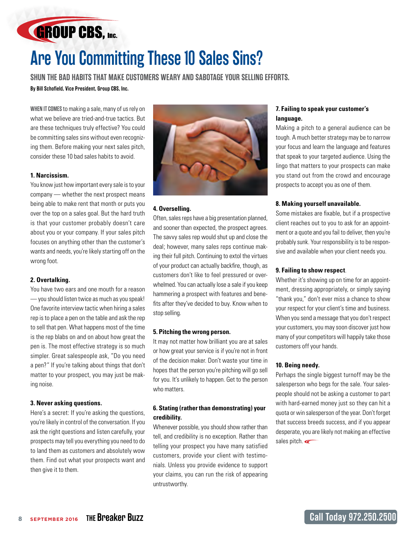# **Are You Committing These 10 Sales Sins?**

**SHUN THE BAD HABITS THAT MAKE CUSTOMERS WEARY AND SABOTAGE YOUR SELLING EFFORTS.**

**By Bill Schofield, Vice President, Group CBS, Inc.** 

<span id="page-7-0"></span>**GROUP CBS, Inc.** 

**WHEN IT COMES** to making a sale, many of us rely on what we believe are tried-and-true tactics. But are these techniques truly effective? You could be committing sales sins without even recognizing them. Before making your next sales pitch, consider these 10 bad sales habits to avoid.

### **1. Narcissism.**

You know just how important every sale is to your company — whether the next prospect means being able to make rent that month or puts you over the top on a sales goal. But the hard truth is that your customer probably doesn't care about you or your company. If your sales pitch focuses on anything other than the customer's wants and needs, you're likely starting off on the wrong foot.

### **2. Overtalking.**

You have two ears and one mouth for a reason — you should listen twice as much as you speak! One favorite interview tactic when hiring a sales rep is to place a pen on the table and ask the rep to sell that pen. What happens most of the time is the rep blabs on and on about how great the pen is. The most effective strategy is so much simpler. Great salespeople ask, "Do you need a pen?" If you're talking about things that don't matter to your prospect, you may just be making noise.

### **3. Never asking questions.**

Here's a secret: If you're asking the questions, you're likely in control of the conversation. If you ask the right questions and listen carefully, your prospects may tell you everything you need to do to land them as customers and absolutely wow them. Find out what your prospects want and then give it to them.



#### **4. Overselling.**

Often, sales reps have a big presentation planned, and sooner than expected, the prospect agrees. The savvy sales rep would shut up and close the deal; however, many sales reps continue making their full pitch. Continuing to extol the virtues of your product can actually backfire, though, as customers don't like to feel pressured or overwhelmed. You can actually lose a sale if you keep hammering a prospect with features and benefits after they've decided to buy. Know when to stop selling.

#### **5. Pitching the wrong person.**

It may not matter how brilliant you are at sales or how great your service is if you're not in front of the decision maker. Don't waste your time in hopes that the person you're pitching will go sell for you. It's unlikely to happen. Get to the person who matters.

### **6. Stating (rather than demonstrating) your credibility.**

Whenever possible, you should show rather than tell, and credibility is no exception. Rather than telling your prospect you have many satisfied customers, provide your client with testimonials. Unless you provide evidence to support your claims, you can run the risk of appearing untrustworthy.

### **7. Failing to speak your customer's language.**

Making a pitch to a general audience can be tough. A much better strategy may be to narrow your focus and learn the language and features that speak to your targeted audience. Using the lingo that matters to your prospects can make you stand out from the crowd and encourage prospects to accept you as one of them.

#### **8. Making yourself unavailable.**

Some mistakes are fixable, but if a prospective client reaches out to you to ask for an appointment or a quote and you fail to deliver, then you're probably sunk. Your responsibility is to be responsive and available when your client needs you.

#### **9. Failing to show respect**.

Whether it's showing up on time for an appointment, dressing appropriately, or simply saying "thank you," don't ever miss a chance to show your respect for your client's time and business. When you send a message that you don't respect your customers, you may soon discover just how many of your competitors will happily take those customers off your hands.

#### **10. Being needy.**

Perhaps the single biggest turnoff may be the salesperson who begs for the sale. Your salespeople should not be asking a customer to part with hard-earned money just so they can hit a quota or win salesperson of the year. Don't forget that success breeds success, and if you appear desperate, you are likely not making an effective sales pitch.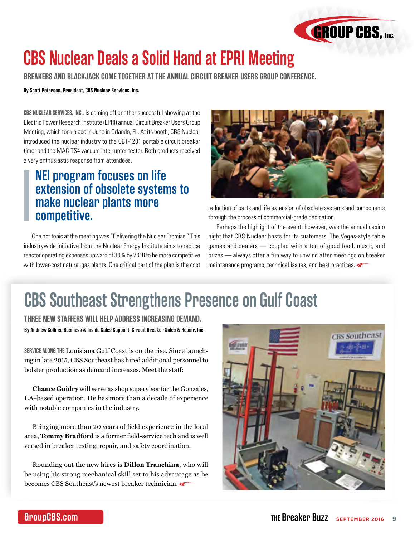

## <span id="page-8-0"></span>**CBS Nuclear Deals a Solid Hand at EPRI Meeting**

**BREAKERS AND BLACKJACK COME TOGETHER AT THE ANNUAL CIRCUIT BREAKER USERS GROUP CONFERENCE.**

### **By Scott Peterson, President, CBS Nuclear Services, Inc.**

**CBS NUCLEAR SERVICES, INC.,** is coming off another successful showing at the Electric Power Research Institute (EPRI) annual Circuit Breaker Users Group Meeting, which took place in June in Orlando, FL. At its booth, CBS Nuclear introduced the nuclear industry to the CBT-1201 portable circuit breaker timer and the MAC-TS4 vacuum interrupter tester. Both products received a very enthusiastic response from attendees.

### **NEI program focuses on life extension of obsolete systems to make nuclear plants more competitive.**

One hot topic at the meeting was "Delivering the Nuclear Promise." This industrywide initiative from the Nuclear Energy Institute aims to reduce reactor operating expenses upward of 30% by 2018 to be more competitive with lower-cost natural gas plants. One critical part of the plan is the cost



reduction of parts and life extension of obsolete systems and components through the process of commercial-grade dedication.

Perhaps the highlight of the event, however, was the annual casino night that CBS Nuclear hosts for its customers. The Vegas-style table games and dealers — coupled with a ton of good food, music, and prizes — always offer a fun way to unwind after meetings on breaker maintenance programs, technical issues, and best practices.

### **CBS Southeast Strengthens Presence on Gulf Coast**

**By Andrew Collins, Business & Inside Sales Support, Circuit Breaker Sales & Repair, Inc. THREE NEW STAFFERS WILL HELP ADDRESS INCREASING DEMAND.**

**SERVICE ALONG THE** Louisiana Gulf Coast is on the rise. Since launching in late 2015, CBS Southeast has hired additional personnel to bolster production as demand increases. Meet the staff:

**Chance Guidry** will serve as shop supervisor for the Gonzales, LA–based operation. He has more than a decade of experience with notable companies in the industry.

Bringing more than 20 years of field experience in the local area, **Tommy Bradford** is a former field-service tech and is well versed in breaker testing, repair, and safety coordination.

Rounding out the new hires is **Dillon Tranchina**, who will be using his strong mechanical skill set to his advantage as he becomes CBS Southeast's newest breaker technician.

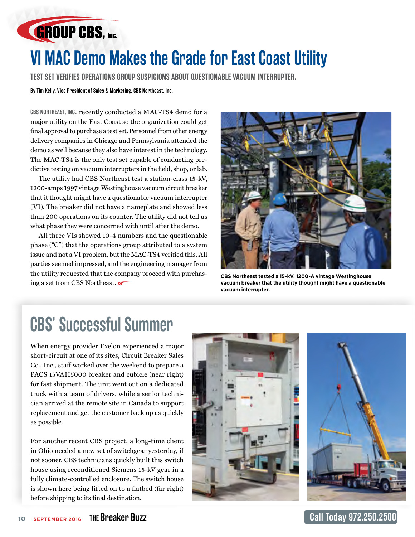<span id="page-9-0"></span>

## **VI MAC Demo Makes the Grade for East Coast Utility**

**TEST SET VERIFIES OPERATIONS GROUP SUSPICIONS ABOUT QUESTIONABLE VACUUM INTERRUPTER.**

### **By Tim Kelly, Vice President of Sales & Marketing, CBS Northeast, Inc.**

**CBS NORTHEAST, INC.,** recently conducted a MAC-TS4 demo for a major utility on the East Coast so the organization could get final approval to purchase a test set. Personnel from other energy delivery companies in Chicago and Pennsylvania attended the demo as well because they also have interest in the technology. The MAC-TS4 is the only test set capable of conducting predictive testing on vacuum interrupters in the field, shop, or lab.

The utility had CBS Northeast test a station-class 15-kV, 1200-amps 1997 vintage Westinghouse vacuum circuit breaker that it thought might have a questionable vacuum interrupter (VI). The breaker did not have a nameplate and showed less than 200 operations on its counter. The utility did not tell us what phase they were concerned with until after the demo.

All three VIs showed 10-4 numbers and the questionable phase ("C") that the operations group attributed to a system issue and not a VI problem, but the MAC-TS4 verified this. All parties seemed impressed, and the engineering manager from the utility requested that the company proceed with purchasing a set from CBS Northeast.



**CBS Northeast tested a 15-kV, 1200-A vintage Westinghouse vacuum breaker that the utility thought might have a questionable vacuum interrupter.**

### **CBS' Successful Summer**

When energy provider Exelon experienced a major short-circuit at one of its sites, Circuit Breaker Sales Co., Inc., staff worked over the weekend to prepare a PACS 15VAH5000 breaker and cubicle (near right) for fast shipment. The unit went out on a dedicated truck with a team of drivers, while a senior technician arrived at the remote site in Canada to support replacement and get the customer back up as quickly as possible.

For another recent CBS project, a long-time client in Ohio needed a new set of switchgear yesterday, if not sooner. CBS technicians quickly built this switch house using reconditioned Siemens 15-kV gear in a fully climate-controlled enclosure. The switch house is shown here being lifted on to a flatbed (far right) before shipping to its final destination.



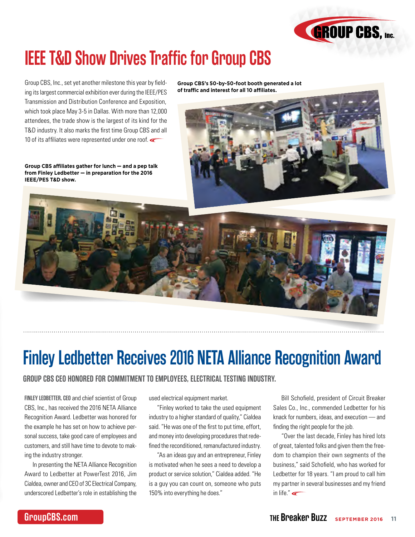

## <span id="page-10-0"></span>**IEEE T&D Show Drives Traffic for Group CBS**

Group CBS, Inc., set yet another milestone this year by fielding its largest commercial exhibition ever during the IEEE/PES Transmission and Distribution Conference and Exposition, which took place May 3-5 in Dallas. With more than 12,000 attendees, the trade show is the largest of its kind for the T&D industry. It also marks the first time Group CBS and all 10 of its affiliates were represented under one roof.

**Group CBS affiliates gather for lunch — and a pep talk from Finley Ledbetter — in preparation for the 2016 IEEE/PES T&D show.**

**Group CBS's 50-by-50-foot booth generated a lot of traffic and interest for all 10 affiliates.**





## **Finley Ledbetter Receives 2016 NETA Alliance Recognition Award**

### **GROUP CBS CEO HONORED FOR COMMITMENT TO EMPLOYEES, ELECTRICAL TESTING INDUSTRY.**

**FINLEY LEDBETTER, CEO** and chief scientist of Group CBS, Inc., has received the 2016 NETA Alliance Recognition Award. Ledbetter was honored for the example he has set on how to achieve personal success, take good care of employees and customers, and still have time to devote to making the industry stronger.

In presenting the NETA Alliance Recognition Award to Ledbetter at PowerTest 2016, Jim Cialdea, owner and CEO of 3C Electrical Company, underscored Ledbetter's role in establishing the

used electrical equipment market.

"Finley worked to take the used equipment industry to a higher standard of quality," Cialdea said. "He was one of the first to put time, effort, and money into developing procedures that redefined the reconditioned, remanufactured industry.

"As an ideas guy and an entrepreneur, Finley is motivated when he sees a need to develop a product or service solution," Cialdea added. "He is a guy you can count on, someone who puts 150% into everything he does."

Bill Schofield, president of Circuit Breaker Sales Co., Inc., commended Ledbetter for his knack for numbers, ideas, and execution — and finding the right people for the job.

"Over the last decade, Finley has hired lots of great, talented folks and given them the freedom to champion their own segments of the business," said Schofield, who has worked for Ledbetter for 18 years. "I am proud to call him my partner in several businesses and my friend in life." $\leftarrow$